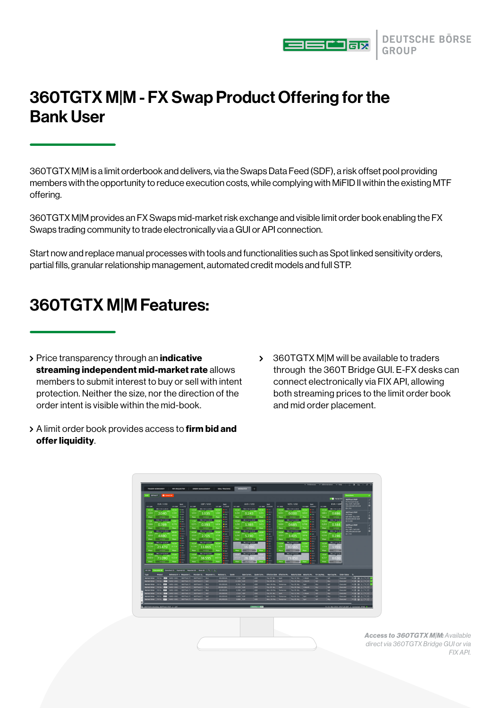

## 360TGTX M|M - FX Swap Product Offering for the Bank User

360TGTX M|M is a limit orderbook and delivers, via the Swaps Data Feed (SDF), a risk offset pool providing members with the opportunity to reduce execution costs, while complying with MiFID II within the existing MTF offering.

360TGTX M|M provides an FX Swaps mid-market risk exchange and visible limit order book enabling the FX Swaps trading community to trade electronically via a GUI or API connection.

Start now and replace manual processes with tools and functionalities such as Spot linked sensitivity orders, partial fills, granular relationship management, automated credit models and full STP.

## 360TGTX M|M Features:

- > Price transparency through an indicative streaming independent mid-market rate allows members to submit interest to buy or sell with intent protection. Neither the size, nor the direction of the order intent is visible within the mid-book.
- > A limit order book provides access to firm bid and offer liquidity.
- 360TGTX M|M will be available to traders through the 360T Bridge GUI. E-FX desks can connect electronically via FIX API, allowing both streaming prices to the limit order book and mid order placement.



*Access to* 360TGTX M|M*: Available direct via 360TGTX Bridge GUI or via FIX API.*